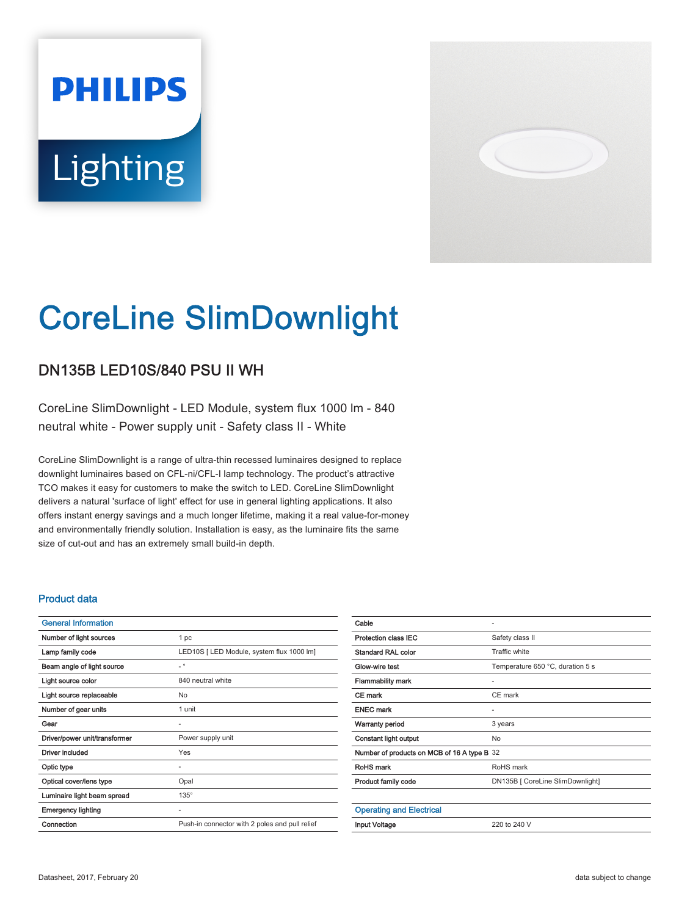# **PHILIPS** Lighting



# CoreLine SlimDownlight

## DN135B LED10S/840 PSU II WH

CoreLine SlimDownlight - LED Module, system flux 1000 lm - 840 neutral white - Power supply unit - Safety class II - White

CoreLine SlimDownlight is a range of ultra-thin recessed luminaires designed to replace downlight luminaires based on CFL-ni/CFL-I lamp technology. The product's attractive TCO makes it easy for customers to make the switch to LED. CoreLine SlimDownlight delivers a natural 'surface of light' effect for use in general lighting applications. It also offers instant energy savings and a much longer lifetime, making it a real value-for-money and environmentally friendly solution. Installation is easy, as the luminaire fits the same size of cut-out and has an extremely small build-in depth.

#### Product data

| <b>General Information</b>    |                                                |
|-------------------------------|------------------------------------------------|
| Number of light sources       | 1 pc                                           |
| Lamp family code              | LED10S [ LED Module, system flux 1000 lm]      |
| Beam angle of light source    | $\overline{\phantom{0}}$                       |
| Light source color            | 840 neutral white                              |
| Light source replaceable      | No                                             |
| Number of gear units          | 1 unit                                         |
| Gear                          | ٠                                              |
| Driver/power unit/transformer | Power supply unit                              |
| <b>Driver included</b>        | Yes                                            |
| Optic type                    | ٠                                              |
| Optical cover/lens type       | Opal                                           |
| Luminaire light beam spread   | $135^\circ$                                    |
| <b>Emergency lighting</b>     | ٠                                              |
| Connection                    | Push-in connector with 2 poles and pull relief |

| Cable                                       | ٠                                |
|---------------------------------------------|----------------------------------|
| <b>Protection class IEC</b>                 | Safety class II                  |
| <b>Standard RAL color</b>                   | Traffic white                    |
| Glow-wire test                              | Temperature 650 °C, duration 5 s |
| <b>Flammability mark</b>                    |                                  |
| CE mark                                     | CE mark                          |
| <b>ENEC mark</b>                            |                                  |
| <b>Warranty period</b>                      | 3 years                          |
| <b>Constant light output</b>                | No                               |
| Number of products on MCB of 16 A type B 32 |                                  |
| RoHS mark                                   | RoHS mark                        |
| Product family code                         | DN135B [ CoreLine SlimDownlight] |
|                                             |                                  |
| <b>Operating and Electrical</b>             |                                  |
| <b>Input Voltage</b>                        | 220 to 240 V                     |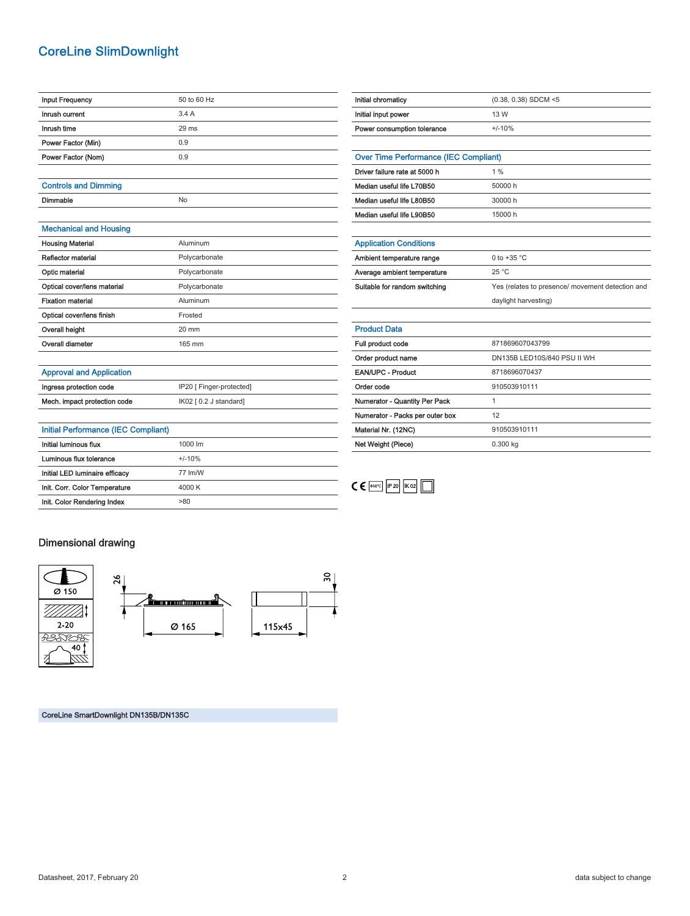### CoreLine SlimDownlight

| <b>Input Frequency</b>        | 50 to 60 Hz     |
|-------------------------------|-----------------|
| Inrush current                | 3.4A            |
| Inrush time                   | $29$ ms         |
| Power Factor (Min)            | 0.9             |
| Power Factor (Nom)            | 0.9             |
|                               |                 |
| <b>Controls and Dimming</b>   |                 |
| Dimmable                      | No              |
|                               |                 |
| <b>Mechanical and Housing</b> |                 |
| <b>Housing Material</b>       | Aluminum        |
| Reflector material            | Polycarbonate   |
| Optic material                | Polycarbonate   |
| Optical cover/lens material   | Polycarbonate   |
| <b>Fixation material</b>      | Aluminum        |
| Optical cover/lens finish     | Frosted         |
| Overall height                | $20 \text{ mm}$ |

| Initial chromaticy                           | $(0.38, 0.38)$ SDCM <5                           |
|----------------------------------------------|--------------------------------------------------|
| Initial input power                          | 13 W                                             |
| Power consumption tolerance                  | $+/-10%$                                         |
|                                              |                                                  |
| <b>Over Time Performance (IEC Compliant)</b> |                                                  |
| Driver failure rate at 5000 h                | $1\%$                                            |
| Median useful life L70B50                    | 50000 h                                          |
| Median useful life L80B50                    | 30000 h                                          |
| Median useful life L90B50                    | 15000 h                                          |
|                                              |                                                  |
| <b>Application Conditions</b>                |                                                  |
| Ambient temperature range                    | 0 to $+35$ °C                                    |
| Average ambient temperature                  | 25 °C                                            |
| Suitable for random switching                | Yes (relates to presence/ movement detection and |
|                                              | daylight harvesting)                             |
|                                              |                                                  |
| <b>Product Data</b>                          |                                                  |
| Full product code                            | 871869607043799                                  |
| Order product name                           | DN135B LED10S/840 PSU II WH                      |
| <b>EAN/UPC - Product</b>                     | 8718696070437                                    |
| Order code                                   | 910503910111                                     |
| Numerator - Quantity Per Pack                | $\mathbf{1}$                                     |
| Numerator - Packs per outer box              | 12                                               |
| Material Nr. (12NC)                          | 910503910111                                     |
| Net Weight (Piece)                           | 0.300 kg                                         |

 $C \in \left[\begin{array}{cc} 650^{\circ}C & P20 & K02 \end{array}\right]$ 

#### Approval and Application

Overall diameter 165 mm

| Ingress protection code      | IP20 [ Finger-protected] |
|------------------------------|--------------------------|
| Mech. impact protection code | IK02 [ 0.2 J standard]   |

| Initial Performance (IEC Compliant) |                     |
|-------------------------------------|---------------------|
| Initial luminous flux               | $1000 \, \text{Im}$ |
| Luminous flux tolerance             | $+/-10%$            |
| Initial LED luminaire efficacy      | 77 Im/W             |
| Init. Corr. Color Temperature       | 4000 K              |
| Init. Color Rendering Index         | >80                 |

#### Dimensional drawing



CoreLine SmartDownlight DN135B/DN135C